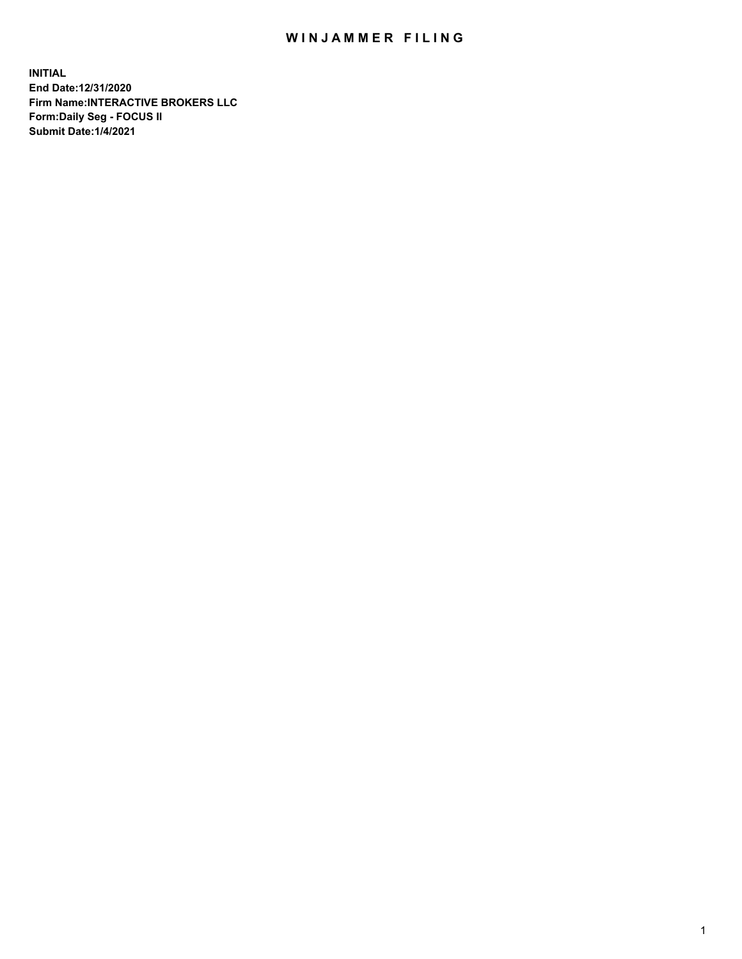## WIN JAMMER FILING

**INITIAL End Date:12/31/2020 Firm Name:INTERACTIVE BROKERS LLC Form:Daily Seg - FOCUS II Submit Date:1/4/2021**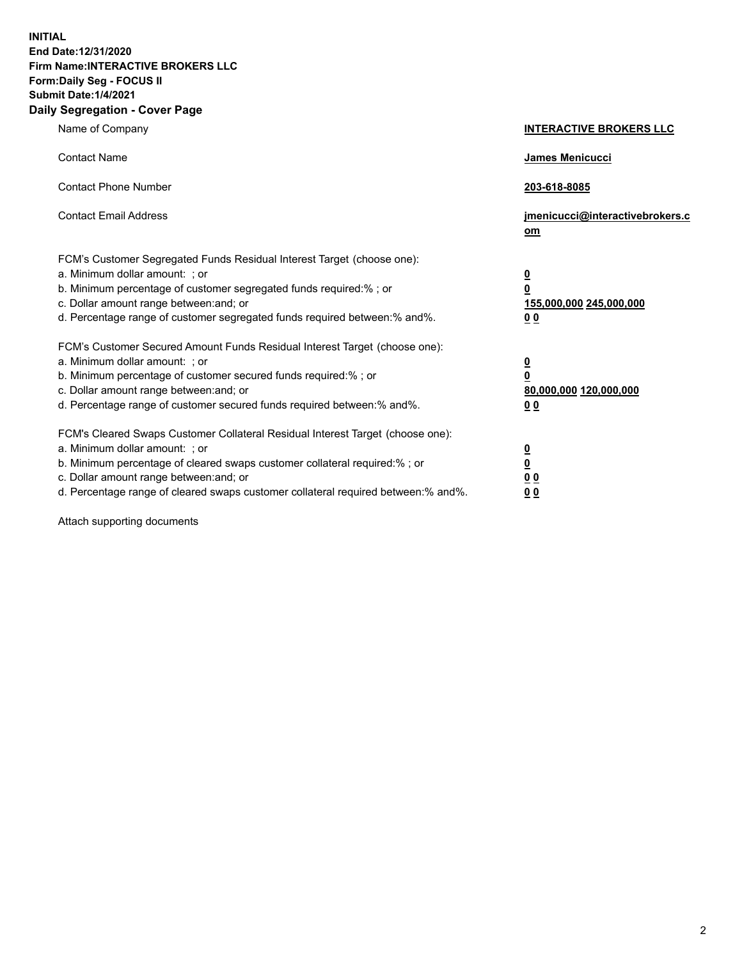**INITIAL End Date:12/31/2020 Firm Name:INTERACTIVE BROKERS LLC Form:Daily Seg - FOCUS II Submit Date:1/4/2021 Daily Segregation - Cover Page**

| Name of Company                                                                                                                                                                                                                                                                                                                | <b>INTERACTIVE BROKERS LLC</b>                                                                  |
|--------------------------------------------------------------------------------------------------------------------------------------------------------------------------------------------------------------------------------------------------------------------------------------------------------------------------------|-------------------------------------------------------------------------------------------------|
| <b>Contact Name</b>                                                                                                                                                                                                                                                                                                            | <b>James Menicucci</b>                                                                          |
| <b>Contact Phone Number</b>                                                                                                                                                                                                                                                                                                    | 203-618-8085                                                                                    |
| <b>Contact Email Address</b>                                                                                                                                                                                                                                                                                                   | jmenicucci@interactivebrokers.c<br>om                                                           |
| FCM's Customer Segregated Funds Residual Interest Target (choose one):<br>a. Minimum dollar amount: ; or<br>b. Minimum percentage of customer segregated funds required:% ; or<br>c. Dollar amount range between: and; or<br>d. Percentage range of customer segregated funds required between:% and%.                         | $\overline{\mathbf{0}}$<br>$\overline{\mathbf{0}}$<br>155,000,000 245,000,000<br>0 <sub>0</sub> |
| FCM's Customer Secured Amount Funds Residual Interest Target (choose one):<br>a. Minimum dollar amount: ; or<br>b. Minimum percentage of customer secured funds required:%; or<br>c. Dollar amount range between: and; or<br>d. Percentage range of customer secured funds required between:% and%.                            | $\overline{\mathbf{0}}$<br>$\overline{\mathbf{0}}$<br>80,000,000 120,000,000<br>0 <sub>0</sub>  |
| FCM's Cleared Swaps Customer Collateral Residual Interest Target (choose one):<br>a. Minimum dollar amount: ; or<br>b. Minimum percentage of cleared swaps customer collateral required:% ; or<br>c. Dollar amount range between: and; or<br>d. Percentage range of cleared swaps customer collateral required between:% and%. | $\frac{0}{0}$<br>0 <sub>0</sub><br>0 <sub>0</sub>                                               |

Attach supporting documents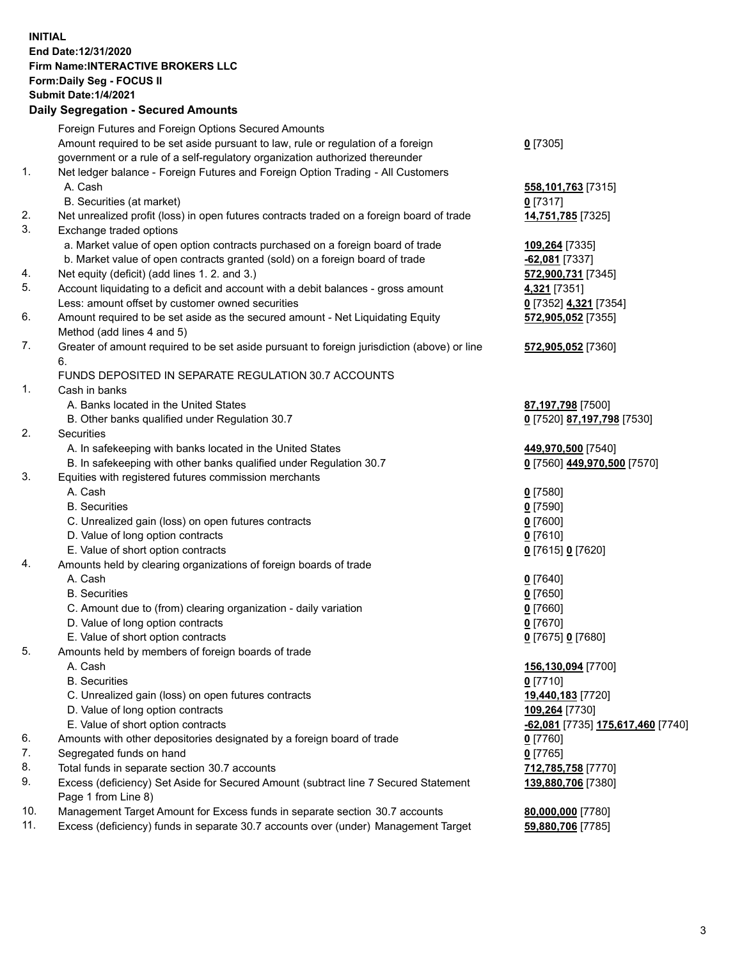## **INITIAL End Date:12/31/2020 Firm Name:INTERACTIVE BROKERS LLC Form:Daily Seg - FOCUS II Submit Date:1/4/2021 Daily Segregation - Secured Amounts**

|     | Foreign Futures and Foreign Options Secured Amounts                                         |                                                 |
|-----|---------------------------------------------------------------------------------------------|-------------------------------------------------|
|     | Amount required to be set aside pursuant to law, rule or regulation of a foreign            | $0$ [7305]                                      |
|     | government or a rule of a self-regulatory organization authorized thereunder                |                                                 |
| 1.  | Net ledger balance - Foreign Futures and Foreign Option Trading - All Customers             |                                                 |
|     | A. Cash                                                                                     | 558,101,763 [7315]                              |
|     | B. Securities (at market)                                                                   | $0$ [7317]                                      |
| 2.  | Net unrealized profit (loss) in open futures contracts traded on a foreign board of trade   | 14,751,785 [7325]                               |
| 3.  | Exchange traded options                                                                     |                                                 |
|     | a. Market value of open option contracts purchased on a foreign board of trade              | 109,264 [7335]                                  |
|     | b. Market value of open contracts granted (sold) on a foreign board of trade                | $-62,081$ [7337]                                |
| 4.  | Net equity (deficit) (add lines 1. 2. and 3.)                                               | 572,900,731 [7345]                              |
| 5.  | Account liquidating to a deficit and account with a debit balances - gross amount           | 4,321 [7351]                                    |
|     | Less: amount offset by customer owned securities                                            | 0 [7352] 4,321 [7354]                           |
| 6.  | Amount required to be set aside as the secured amount - Net Liquidating Equity              | 572,905,052 [7355]                              |
|     | Method (add lines 4 and 5)                                                                  |                                                 |
| 7.  | Greater of amount required to be set aside pursuant to foreign jurisdiction (above) or line | 572,905,052 [7360]                              |
|     | 6.                                                                                          |                                                 |
|     | FUNDS DEPOSITED IN SEPARATE REGULATION 30.7 ACCOUNTS                                        |                                                 |
| 1.  | Cash in banks                                                                               |                                                 |
|     | A. Banks located in the United States                                                       | 87,197,798 [7500]                               |
|     | B. Other banks qualified under Regulation 30.7                                              | 0 [7520] 87,197,798 [7530]                      |
| 2.  | Securities                                                                                  |                                                 |
|     | A. In safekeeping with banks located in the United States                                   | 449,970,500 [7540]                              |
|     | B. In safekeeping with other banks qualified under Regulation 30.7                          | 0 [7560] 449,970,500 [7570]                     |
| 3.  | Equities with registered futures commission merchants                                       |                                                 |
|     | A. Cash                                                                                     | $0$ [7580]                                      |
|     | <b>B.</b> Securities                                                                        | $0$ [7590]                                      |
|     | C. Unrealized gain (loss) on open futures contracts                                         | $0$ [7600]                                      |
|     | D. Value of long option contracts                                                           | $0$ [7610]                                      |
|     | E. Value of short option contracts                                                          | 0 [7615] 0 [7620]                               |
| 4.  | Amounts held by clearing organizations of foreign boards of trade                           |                                                 |
|     | A. Cash                                                                                     | $0$ [7640]                                      |
|     | <b>B.</b> Securities                                                                        | $0$ [7650]                                      |
|     | C. Amount due to (from) clearing organization - daily variation                             | $0$ [7660]                                      |
|     | D. Value of long option contracts                                                           | $0$ [7670]                                      |
|     | E. Value of short option contracts                                                          | 0 [7675] 0 [7680]                               |
| 5.  | Amounts held by members of foreign boards of trade                                          |                                                 |
|     | A. Cash                                                                                     | 156,130,094 [7700]                              |
|     | <b>B.</b> Securities                                                                        | $0$ [7710]                                      |
|     | C. Unrealized gain (loss) on open futures contracts                                         | 19,440,183 [7720]                               |
|     | D. Value of long option contracts                                                           | 109,264 [7730]                                  |
|     | E. Value of short option contracts                                                          | <u>-62,081</u> [7735] <u>175,617,460</u> [7740] |
| 6.  | Amounts with other depositories designated by a foreign board of trade                      | $0$ [7760]                                      |
| 7.  | Segregated funds on hand                                                                    | $0$ [7765]                                      |
| 8.  | Total funds in separate section 30.7 accounts                                               | 712,785,758 [7770]                              |
| 9.  | Excess (deficiency) Set Aside for Secured Amount (subtract line 7 Secured Statement         | 139,880,706 [7380]                              |
|     | Page 1 from Line 8)                                                                         |                                                 |
| 10. | Management Target Amount for Excess funds in separate section 30.7 accounts                 | 80,000,000 [7780]                               |
| 11. | Excess (deficiency) funds in separate 30.7 accounts over (under) Management Target          | 59,880,706 [7785]                               |
|     |                                                                                             |                                                 |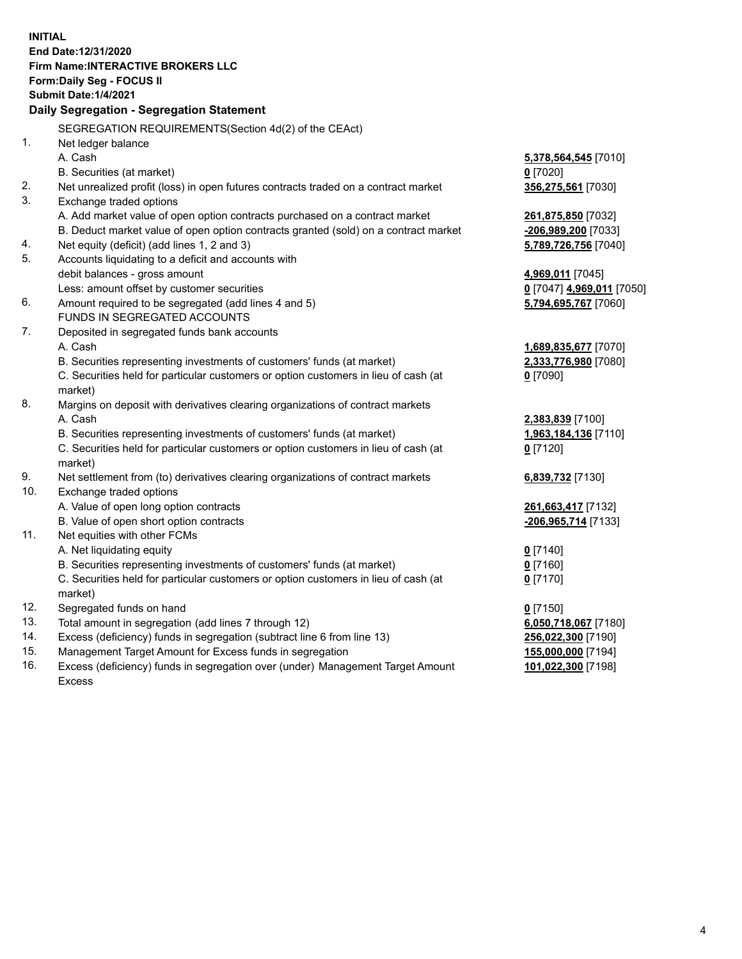|          | <b>INITIAL</b><br>End Date:12/31/2020<br><b>Firm Name:INTERACTIVE BROKERS LLC</b><br>Form: Daily Seg - FOCUS II<br><b>Submit Date:1/4/2021</b><br>Daily Segregation - Segregation Statement |                                               |
|----------|---------------------------------------------------------------------------------------------------------------------------------------------------------------------------------------------|-----------------------------------------------|
|          | SEGREGATION REQUIREMENTS(Section 4d(2) of the CEAct)                                                                                                                                        |                                               |
| 1.       | Net ledger balance                                                                                                                                                                          |                                               |
|          | A. Cash                                                                                                                                                                                     | 5,378,564,545 [7010]                          |
|          | B. Securities (at market)                                                                                                                                                                   | $0$ [7020]                                    |
| 2.       | Net unrealized profit (loss) in open futures contracts traded on a contract market                                                                                                          | 356,275,561 [7030]                            |
| 3.       | Exchange traded options                                                                                                                                                                     |                                               |
|          | A. Add market value of open option contracts purchased on a contract market                                                                                                                 | 261,875,850 [7032]                            |
|          | B. Deduct market value of open option contracts granted (sold) on a contract market                                                                                                         | -206,989,200 [7033]                           |
| 4.<br>5. | Net equity (deficit) (add lines 1, 2 and 3)                                                                                                                                                 | 5,789,726,756 [7040]                          |
|          | Accounts liquidating to a deficit and accounts with                                                                                                                                         |                                               |
|          | debit balances - gross amount<br>Less: amount offset by customer securities                                                                                                                 | 4,969,011 [7045]<br>0 [7047] 4,969,011 [7050] |
| 6.       | Amount required to be segregated (add lines 4 and 5)                                                                                                                                        | 5,794,695,767 [7060]                          |
|          | FUNDS IN SEGREGATED ACCOUNTS                                                                                                                                                                |                                               |
| 7.       | Deposited in segregated funds bank accounts                                                                                                                                                 |                                               |
|          | A. Cash                                                                                                                                                                                     | 1,689,835,677 [7070]                          |
|          | B. Securities representing investments of customers' funds (at market)                                                                                                                      | 2,333,776,980 [7080]                          |
|          | C. Securities held for particular customers or option customers in lieu of cash (at                                                                                                         | $0$ [7090]                                    |
|          | market)                                                                                                                                                                                     |                                               |
| 8.       | Margins on deposit with derivatives clearing organizations of contract markets                                                                                                              |                                               |
|          | A. Cash                                                                                                                                                                                     | 2,383,839 [7100]                              |
|          | B. Securities representing investments of customers' funds (at market)                                                                                                                      | 1,963,184,136 [7110]                          |
|          | C. Securities held for particular customers or option customers in lieu of cash (at                                                                                                         | $0$ [7120]                                    |
|          | market)                                                                                                                                                                                     |                                               |
| 9.       | Net settlement from (to) derivatives clearing organizations of contract markets                                                                                                             | 6,839,732 [7130]                              |
| 10.      | Exchange traded options                                                                                                                                                                     |                                               |
|          | A. Value of open long option contracts                                                                                                                                                      | 261,663,417 [7132]                            |
|          | B. Value of open short option contracts                                                                                                                                                     | -206,965,714 [7133]                           |
| 11.      | Net equities with other FCMs                                                                                                                                                                |                                               |
|          | A. Net liquidating equity                                                                                                                                                                   | $0$ [7140]                                    |
|          | B. Securities representing investments of customers' funds (at market)                                                                                                                      | $0$ [7160]                                    |
|          | C. Securities held for particular customers or option customers in lieu of cash (at                                                                                                         | $0$ [7170]                                    |
|          | market)                                                                                                                                                                                     |                                               |
| 12.      | Segregated funds on hand                                                                                                                                                                    | $0$ [7150]                                    |
| 13.      | Total amount in segregation (add lines 7 through 12)                                                                                                                                        | 6,050,718,067 [7180]                          |
| 14.      | Excess (deficiency) funds in segregation (subtract line 6 from line 13)                                                                                                                     | 256,022,300 [7190]                            |
| 15.      | Management Target Amount for Excess funds in segregation                                                                                                                                    | 155,000,000 [7194]                            |
| 16.      | Excess (deficiency) funds in segregation over (under) Management Target Amount                                                                                                              | 101,022,300 [7198]                            |
|          | <b>Excess</b>                                                                                                                                                                               |                                               |